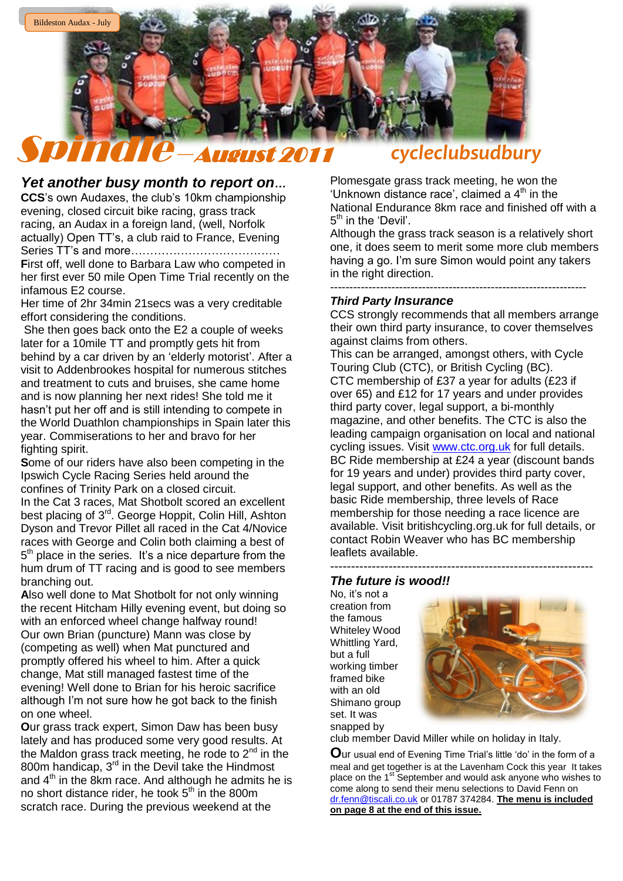

## *Yet another busy month to report on…*

**CCS**"s own Audaxes, the club"s 10km championship evening, closed circuit bike racing, grass track racing, an Audax in a foreign land, (well, Norfolk actually) Open TT"s, a club raid to France, Evening Series TT"s and more………………………………… **F**irst off, well done to Barbara Law who competed in her first ever 50 mile Open Time Trial recently on the infamous E2 course.

Her time of 2hr 34min 21 secs was a very creditable effort considering the conditions.

She then goes back onto the E2 a couple of weeks later for a 10mile TT and promptly gets hit from behind by a car driven by an 'elderly motorist'. After a visit to Addenbrookes hospital for numerous stitches and treatment to cuts and bruises, she came home and is now planning her next rides! She told me it hasn"t put her off and is still intending to compete in the World Duathlon championships in Spain later this year. Commiserations to her and bravo for her fighting spirit.

**S**ome of our riders have also been competing in the Ipswich Cycle Racing Series held around the confines of Trinity Park on a closed circuit.

In the Cat 3 races, Mat Shotbolt scored an excellent best placing of 3<sup>rd</sup>. George Hoppit, Colin Hill, Ashton Dyson and Trevor Pillet all raced in the Cat 4/Novice races with George and Colin both claiming a best of  $5<sup>th</sup>$  place in the series. It's a nice departure from the hum drum of TT racing and is good to see members branching out.

**A**lso well done to Mat Shotbolt for not only winning the recent Hitcham Hilly evening event, but doing so with an enforced wheel change halfway round! Our own Brian (puncture) Mann was close by (competing as well) when Mat punctured and promptly offered his wheel to him. After a quick change, Mat still managed fastest time of the evening! Well done to Brian for his heroic sacrifice although I"m not sure how he got back to the finish on one wheel.

**O**ur grass track expert, Simon Daw has been busy lately and has produced some very good results. At the Maldon grass track meeting, he rode to  $2^{nd}$  in the 800m handicap,  $3<sup>rd</sup>$  in the Devil take the Hindmost and  $4<sup>th</sup>$  in the 8km race. And although he admits he is no short distance rider, he took  $5<sup>th</sup>$  in the 800m scratch race. During the previous weekend at the

Plomesgate grass track meeting, he won the 'Unknown distance race', claimed a  $4<sup>th</sup>$  in the National Endurance 8km race and finished off with a 5<sup>th</sup> in the 'Devil'.

Although the grass track season is a relatively short one, it does seem to merit some more club members having a go. I'm sure Simon would point any takers in the right direction.

-------------------------------------------------------------------

### *Third Party Insurance*

CCS strongly recommends that all members arrange their own third party insurance, to cover themselves against claims from others.

This can be arranged, amongst others, with Cycle Touring Club (CTC), or British Cycling (BC). CTC membership of £37 a year for adults (£23 if over 65) and £12 for 17 years and under provides third party cover, legal support, a bi-monthly magazine, and other benefits. The CTC is also the leading campaign organisation on local and national cycling issues. Visit [www.ctc.org.uk](http://www.ctc.org.uk/) for full details. BC Ride membership at £24 a year (discount bands for 19 years and under) provides third party cover, legal support, and other benefits. As well as the basic Ride membership, three levels of Race membership for those needing a race licence are available. Visit britishcycling.org.uk for full details, or contact Robin Weaver who has BC membership leaflets available.

#### --------------------------------------------------------------- *The future is wood!!*

No, it"s not a creation from the famous Whiteley Wood Whittling Yard, but a full working timber framed bike with an old Shimano group set. It was snapped by



club member David Miller while on holiday in Italy.

**O**ur usual end of Evening Time Trial"s little "do" in the form of a meal and get together is at the Lavenham Cock this year It takes place on the 1<sup>st</sup> September and would ask anyone who wishes to come along to send their menu selections to David Fenn on [dr.fenn@tiscali.co.uk](mailto:dr.fenn@tiscali.co.uk) or 01787 374284. **The menu is included on page 8 at the end of this issue.**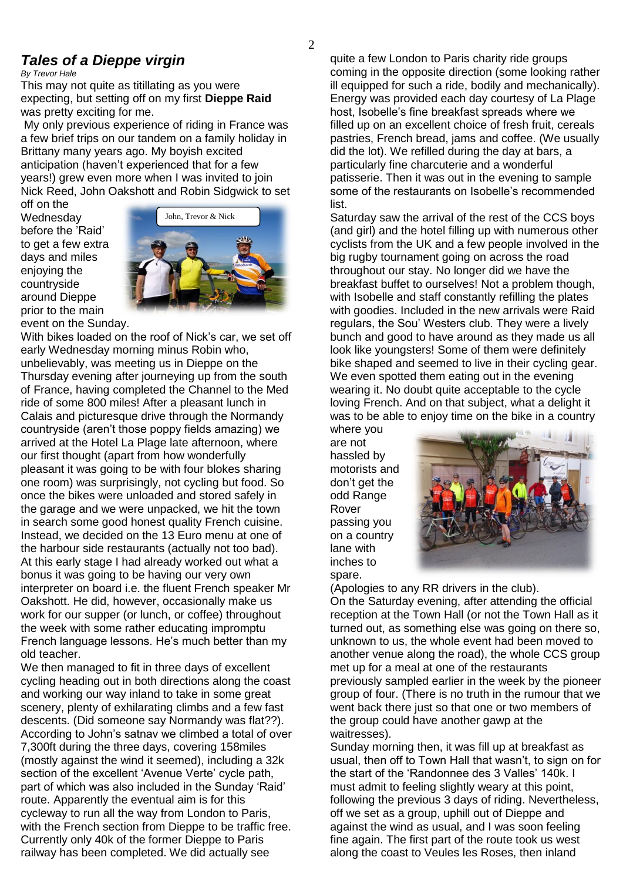# *Tales of a Dieppe virgin*

*By Trevor Hale*

This may not quite as titillating as you were expecting, but setting off on my first **Dieppe Raid** was pretty exciting for me.

My only previous experience of riding in France was a few brief trips on our tandem on a family holiday in Brittany many years ago. My boyish excited anticipation (haven't experienced that for a few years!) grew even more when I was invited to join Nick Reed, John Oakshott and Robin Sidgwick to set

off on the **Wednesday** before the "Raid" to get a few extra days and miles enjoying the countryside around Dieppe prior to the main event on the Sunday.



With bikes loaded on the roof of Nick"s car, we set off early Wednesday morning minus Robin who, unbelievably, was meeting us in Dieppe on the Thursday evening after journeying up from the south of France, having completed the Channel to the Med ride of some 800 miles! After a pleasant lunch in Calais and picturesque drive through the Normandy countryside (aren"t those poppy fields amazing) we arrived at the Hotel La Plage late afternoon, where our first thought (apart from how wonderfully pleasant it was going to be with four blokes sharing one room) was surprisingly, not cycling but food. So once the bikes were unloaded and stored safely in the garage and we were unpacked, we hit the town in search some good honest quality French cuisine. Instead, we decided on the 13 Euro menu at one of the harbour side restaurants (actually not too bad). At this early stage I had already worked out what a bonus it was going to be having our very own interpreter on board i.e. the fluent French speaker Mr Oakshott. He did, however, occasionally make us work for our supper (or lunch, or coffee) throughout the week with some rather educating impromptu French language lessons. He's much better than my old teacher.

We then managed to fit in three days of excellent cycling heading out in both directions along the coast and working our way inland to take in some great scenery, plenty of exhilarating climbs and a few fast descents. (Did someone say Normandy was flat??). According to John"s satnav we climbed a total of over 7,300ft during the three days, covering 158miles (mostly against the wind it seemed), including a 32k section of the excellent 'Avenue Verte' cycle path, part of which was also included in the Sunday "Raid" route. Apparently the eventual aim is for this cycleway to run all the way from London to Paris, with the French section from Dieppe to be traffic free. Currently only 40k of the former Dieppe to Paris railway has been completed. We did actually see

quite a few London to Paris charity ride groups coming in the opposite direction (some looking rather ill equipped for such a ride, bodily and mechanically). Energy was provided each day courtesy of La Plage host, Isobelle"s fine breakfast spreads where we filled up on an excellent choice of fresh fruit, cereals pastries, French bread, jams and coffee. (We usually did the lot). We refilled during the day at bars, a particularly fine charcuterie and a wonderful patisserie. Then it was out in the evening to sample some of the restaurants on Isobelle"s recommended list.

Saturday saw the arrival of the rest of the CCS boys (and girl) and the hotel filling up with numerous other cyclists from the UK and a few people involved in the big rugby tournament going on across the road throughout our stay. No longer did we have the breakfast buffet to ourselves! Not a problem though, with Isobelle and staff constantly refilling the plates with goodies. Included in the new arrivals were Raid regulars, the Sou" Westers club. They were a lively bunch and good to have around as they made us all look like youngsters! Some of them were definitely bike shaped and seemed to live in their cycling gear. We even spotted them eating out in the evening wearing it. No doubt quite acceptable to the cycle loving French. And on that subject, what a delight it was to be able to enjoy time on the bike in a country

where you are not hassled by motorists and don"t get the odd Range Rover passing you on a country lane with inches to spare.



(Apologies to any RR drivers in the club). On the Saturday evening, after attending the official reception at the Town Hall (or not the Town Hall as it turned out, as something else was going on there so, unknown to us, the whole event had been moved to another venue along the road), the whole CCS group met up for a meal at one of the restaurants previously sampled earlier in the week by the pioneer group of four. (There is no truth in the rumour that we went back there just so that one or two members of the group could have another gawp at the waitresses).

Sunday morning then, it was fill up at breakfast as usual, then off to Town Hall that wasn"t, to sign on for the start of the "Randonnee des 3 Valles" 140k. I must admit to feeling slightly weary at this point, following the previous 3 days of riding. Nevertheless, off we set as a group, uphill out of Dieppe and against the wind as usual, and I was soon feeling fine again. The first part of the route took us west along the coast to Veules les Roses, then inland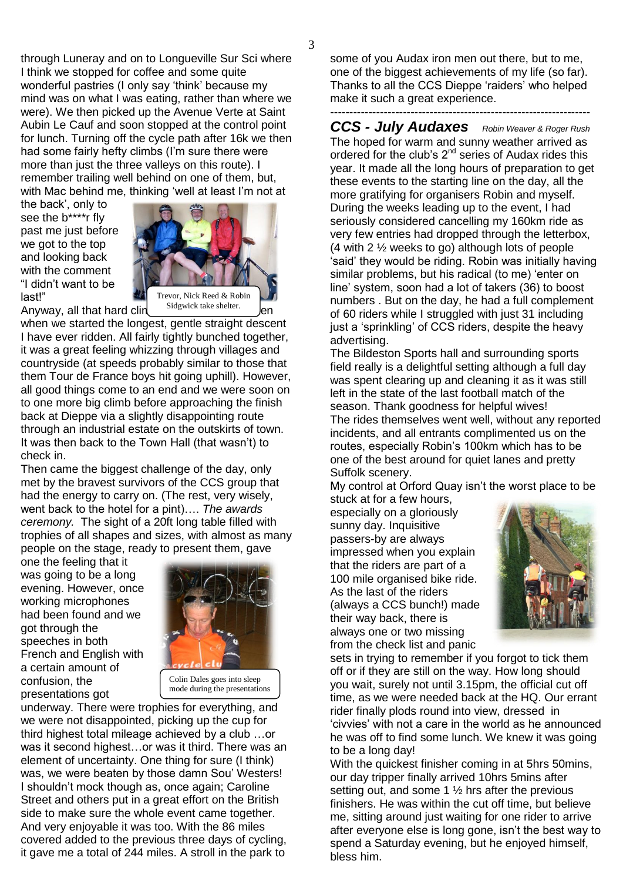through Luneray and on to Longueville Sur Sci where I think we stopped for coffee and some quite wonderful pastries (I only say "think" because my mind was on what I was eating, rather than where we were). We then picked up the Avenue Verte at Saint Aubin Le Cauf and soon stopped at the control point for lunch. Turning off the cycle path after 16k we then had some fairly hefty climbs (I"m sure there were more than just the three valleys on this route). I remember trailing well behind on one of them, but, with Mac behind me, thinking 'well at least I'm not at

the back", only to see the b\*\*\*\*r fly past me just before we got to the top and looking back with the comment "I didn"t want to be last!"



Anyway, all that hard clin

Sidgwick take shelter.

when we started the longest, gentle straight descent I have ever ridden. All fairly tightly bunched together, it was a great feeling whizzing through villages and countryside (at speeds probably similar to those that them Tour de France boys hit going uphill). However, all good things come to an end and we were soon on to one more big climb before approaching the finish back at Dieppe via a slightly disappointing route through an industrial estate on the outskirts of town. It was then back to the Town Hall (that wasn"t) to check in.

Then came the biggest challenge of the day, only met by the bravest survivors of the CCS group that had the energy to carry on. (The rest, very wisely, went back to the hotel for a pint)…. *The awards ceremony.* The sight of a 20ft long table filled with trophies of all shapes and sizes, with almost as many people on the stage, ready to present them, gave

one the feeling that it was going to be a long evening. However, once working microphones had been found and we got through the speeches in both French and English with a certain amount of confusion, the presentations got



mode during the presentations

underway. There were trophies for everything, and we were not disappointed, picking up the cup for third highest total mileage achieved by a club …or was it second highest…or was it third. There was an element of uncertainty. One thing for sure (I think) was, we were beaten by those damn Sou" Westers! I shouldn"t mock though as, once again; Caroline Street and others put in a great effort on the British side to make sure the whole event came together. And very enjoyable it was too. With the 86 miles covered added to the previous three days of cycling, it gave me a total of 244 miles. A stroll in the park to

some of you Audax iron men out there, but to me, one of the biggest achievements of my life (so far). Thanks to all the CCS Dieppe "raiders" who helped make it such a great experience.

### --------------------------------------------------------------------

*CCS - July Audaxes Robin Weaver & Roger Rush* The hoped for warm and sunny weather arrived as ordered for the club's  $2^{nd}$  series of Audax rides this year. It made all the long hours of preparation to get these events to the starting line on the day, all the more gratifying for organisers Robin and myself. During the weeks leading up to the event, I had seriously considered cancelling my 160km ride as very few entries had dropped through the letterbox, (4 with 2 ½ weeks to go) although lots of people "said" they would be riding. Robin was initially having similar problems, but his radical (to me) 'enter on line" system, soon had a lot of takers (36) to boost numbers . But on the day, he had a full complement of 60 riders while I struggled with just 31 including just a 'sprinkling' of CCS riders, despite the heavy advertising.

The Bildeston Sports hall and surrounding sports field really is a delightful setting although a full day was spent clearing up and cleaning it as it was still left in the state of the last football match of the season. Thank goodness for helpful wives! The rides themselves went well, without any reported incidents, and all entrants complimented us on the routes, especially Robin"s 100km which has to be one of the best around for quiet lanes and pretty Suffolk scenery.

My control at Orford Quay isn"t the worst place to be

stuck at for a few hours, especially on a gloriously sunny day. Inquisitive passers-by are always impressed when you explain that the riders are part of a 100 mile organised bike ride. As the last of the riders (always a CCS bunch!) made their way back, there is always one or two missing from the check list and panic



sets in trying to remember if you forgot to tick them off or if they are still on the way. How long should you wait, surely not until 3.15pm, the official cut off time, as we were needed back at the HQ. Our errant rider finally plods round into view, dressed in "civvies" with not a care in the world as he announced he was off to find some lunch. We knew it was going to be a long day!

With the quickest finisher coming in at 5hrs 50mins, our day tripper finally arrived 10hrs 5mins after setting out, and some 1  $\frac{1}{2}$  hrs after the previous finishers. He was within the cut off time, but believe me, sitting around just waiting for one rider to arrive after everyone else is long gone, isn"t the best way to spend a Saturday evening, but he enjoyed himself, bless him.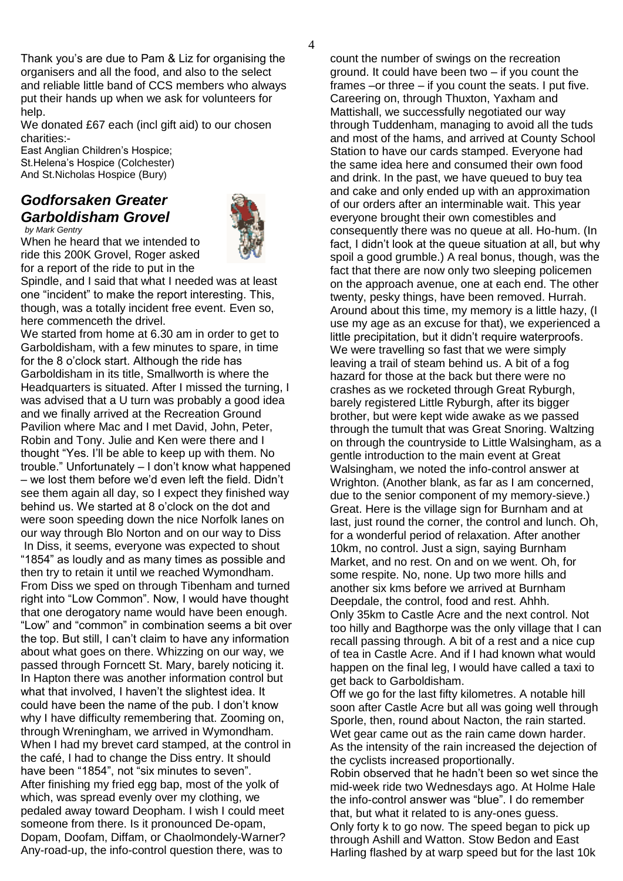Thank you"s are due to Pam & Liz for organising the organisers and all the food, and also to the select and reliable little band of CCS members who always put their hands up when we ask for volunteers for help.

We donated £67 each (incl gift aid) to our chosen charities:-

East Anglian Children"s Hospice; St.Helena"s Hospice (Colchester) And St.Nicholas Hospice (Bury)

### *Godforsaken Greater Garboldisham Grovel by Mark Gentry*



When he heard that we intended to ride this 200K Grovel, Roger asked for a report of the ride to put in the

Spindle, and I said that what I needed was at least one "incident" to make the report interesting. This, though, was a totally incident free event. Even so, here commenceth the drivel.

We started from home at 6.30 am in order to get to Garboldisham, with a few minutes to spare, in time for the 8 o"clock start. Although the ride has Garboldisham in its title, Smallworth is where the Headquarters is situated. After I missed the turning, I was advised that a U turn was probably a good idea and we finally arrived at the Recreation Ground Pavilion where Mac and I met David, John, Peter, Robin and Tony. Julie and Ken were there and I thought "Yes. I"ll be able to keep up with them. No trouble." Unfortunately – I don"t know what happened – we lost them before we"d even left the field. Didn"t see them again all day, so I expect they finished way behind us. We started at 8 o"clock on the dot and were soon speeding down the nice Norfolk lanes on our way through Blo Norton and on our way to Diss In Diss, it seems, everyone was expected to shout "1854" as loudly and as many times as possible and then try to retain it until we reached Wymondham. From Diss we sped on through Tibenham and turned right into "Low Common". Now, I would have thought that one derogatory name would have been enough. "Low" and "common" in combination seems a bit over the top. But still, I can"t claim to have any information about what goes on there. Whizzing on our way, we passed through Forncett St. Mary, barely noticing it. In Hapton there was another information control but what that involved, I haven"t the slightest idea. It could have been the name of the pub. I don"t know why I have difficulty remembering that. Zooming on, through Wreningham, we arrived in Wymondham. When I had my brevet card stamped, at the control in the café, I had to change the Diss entry. It should have been "1854", not "six minutes to seven". After finishing my fried egg bap, most of the yolk of which, was spread evenly over my clothing, we pedaled away toward Deopham. I wish I could meet someone from there. Is it pronounced De-opam, Dopam, Doofam, Diffam, or Chaolmondely-Warner? Any-road-up, the info-control question there, was to

count the number of swings on the recreation ground. It could have been two – if you count the frames –or three – if you count the seats. I put five. Careering on, through Thuxton, Yaxham and Mattishall, we successfully negotiated our way through Tuddenham, managing to avoid all the tuds and most of the hams, and arrived at County School Station to have our cards stamped. Everyone had the same idea here and consumed their own food and drink. In the past, we have queued to buy tea and cake and only ended up with an approximation of our orders after an interminable wait. This year everyone brought their own comestibles and consequently there was no queue at all. Ho-hum. (In fact, I didn"t look at the queue situation at all, but why spoil a good grumble.) A real bonus, though, was the fact that there are now only two sleeping policemen on the approach avenue, one at each end. The other twenty, pesky things, have been removed. Hurrah. Around about this time, my memory is a little hazy, (I use my age as an excuse for that), we experienced a little precipitation, but it didn"t require waterproofs. We were travelling so fast that we were simply leaving a trail of steam behind us. A bit of a fog hazard for those at the back but there were no crashes as we rocketed through Great Ryburgh, barely registered Little Ryburgh, after its bigger brother, but were kept wide awake as we passed through the tumult that was Great Snoring. Waltzing on through the countryside to Little Walsingham, as a gentle introduction to the main event at Great Walsingham, we noted the info-control answer at Wrighton. (Another blank, as far as I am concerned, due to the senior component of my memory-sieve.) Great. Here is the village sign for Burnham and at last, just round the corner, the control and lunch. Oh, for a wonderful period of relaxation. After another 10km, no control. Just a sign, saying Burnham Market, and no rest. On and on we went. Oh, for some respite. No, none. Up two more hills and another six kms before we arrived at Burnham Deepdale, the control, food and rest. Ahhh. Only 35km to Castle Acre and the next control. Not too hilly and Bagthorpe was the only village that I can recall passing through. A bit of a rest and a nice cup of tea in Castle Acre. And if I had known what would happen on the final leg, I would have called a taxi to get back to Garboldisham.

Off we go for the last fifty kilometres. A notable hill soon after Castle Acre but all was going well through Sporle, then, round about Nacton, the rain started. Wet gear came out as the rain came down harder. As the intensity of the rain increased the dejection of the cyclists increased proportionally.

Robin observed that he hadn"t been so wet since the mid-week ride two Wednesdays ago. At Holme Hale the info-control answer was "blue". I do remember that, but what it related to is any-ones guess. Only forty k to go now. The speed began to pick up through Ashill and Watton. Stow Bedon and East Harling flashed by at warp speed but for the last 10k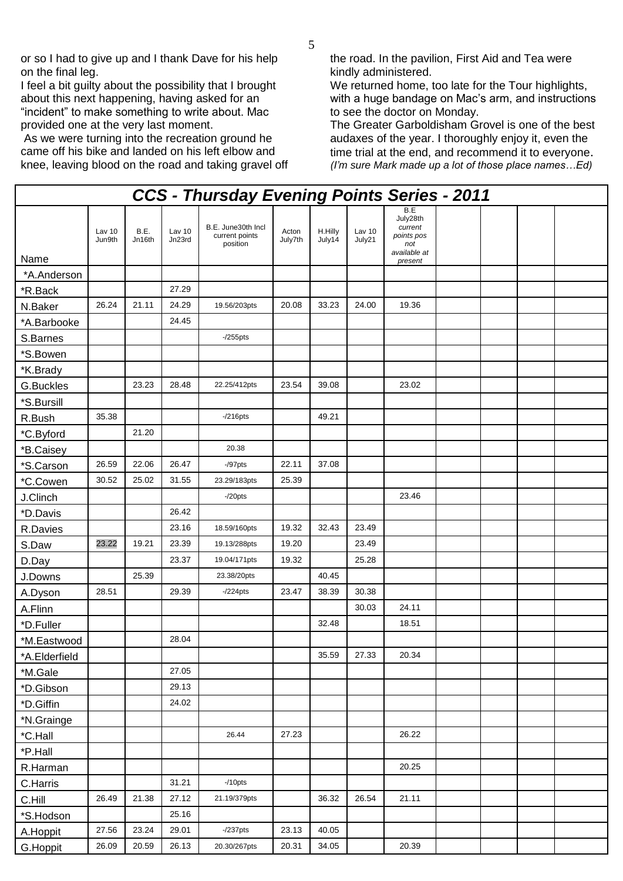or so I had to give up and I thank Dave for his help on the final leg.

I feel a bit guilty about the possibility that I brought about this next happening, having asked for an "incident" to make something to write about. Mac provided one at the very last moment.

As we were turning into the recreation ground he came off his bike and landed on his left elbow and knee, leaving blood on the road and taking gravel off the road. In the pavilion, First Aid and Tea were kindly administered.

We returned home, too late for the Tour highlights, with a huge bandage on Mac's arm, and instructions to see the doctor on Monday.

The Greater Garboldisham Grovel is one of the best audaxes of the year. I thoroughly enjoy it, even the time trial at the end, and recommend it to everyone. *(I'm sure Mark made up a lot of those place names…Ed)* 

| <b>CCS - Thursday Evening Points Series - 2011</b> |                  |                |                  |                                                  |                  |                   |                  |                                                                            |  |  |  |  |
|----------------------------------------------------|------------------|----------------|------------------|--------------------------------------------------|------------------|-------------------|------------------|----------------------------------------------------------------------------|--|--|--|--|
| Name                                               | Lav 10<br>Jun9th | B.E.<br>Jn16th | Lav 10<br>Jn23rd | B.E. June30th Incl<br>current points<br>position | Acton<br>July7th | H.Hilly<br>July14 | Lav 10<br>July21 | B.E<br>July28th<br>current<br>points pos<br>not<br>available at<br>present |  |  |  |  |
| *A.Anderson                                        |                  |                |                  |                                                  |                  |                   |                  |                                                                            |  |  |  |  |
| *R.Back                                            |                  |                | 27.29            |                                                  |                  |                   |                  |                                                                            |  |  |  |  |
| N.Baker                                            | 26.24            | 21.11          | 24.29            | 19.56/203pts                                     | 20.08            | 33.23             | 24.00            | 19.36                                                                      |  |  |  |  |
| *A.Barbooke                                        |                  |                | 24.45            |                                                  |                  |                   |                  |                                                                            |  |  |  |  |
| S.Barnes                                           |                  |                |                  | $-255$ pts                                       |                  |                   |                  |                                                                            |  |  |  |  |
| *S.Bowen                                           |                  |                |                  |                                                  |                  |                   |                  |                                                                            |  |  |  |  |
| *K.Brady                                           |                  |                |                  |                                                  |                  |                   |                  |                                                                            |  |  |  |  |
| G.Buckles                                          |                  | 23.23          | 28.48            | 22.25/412pts                                     | 23.54            | 39.08             |                  | 23.02                                                                      |  |  |  |  |
| *S.Bursill                                         |                  |                |                  |                                                  |                  |                   |                  |                                                                            |  |  |  |  |
| R.Bush                                             | 35.38            |                |                  | $-216$ pts                                       |                  | 49.21             |                  |                                                                            |  |  |  |  |
| *C.Byford                                          |                  | 21.20          |                  |                                                  |                  |                   |                  |                                                                            |  |  |  |  |
| *B.Caisey                                          |                  |                |                  | 20.38                                            |                  |                   |                  |                                                                            |  |  |  |  |
| *S.Carson                                          | 26.59            | 22.06          | 26.47            | $-$ /97 $pts$                                    | 22.11            | 37.08             |                  |                                                                            |  |  |  |  |
| *C.Cowen                                           | 30.52            | 25.02          | 31.55            | 23.29/183pts                                     | 25.39            |                   |                  |                                                                            |  |  |  |  |
| J.Clinch                                           |                  |                |                  | $-20$ pts                                        |                  |                   |                  | 23.46                                                                      |  |  |  |  |
| *D.Davis                                           |                  |                | 26.42            |                                                  |                  |                   |                  |                                                                            |  |  |  |  |
| R.Davies                                           |                  |                | 23.16            | 18.59/160pts                                     | 19.32            | 32.43             | 23.49            |                                                                            |  |  |  |  |
| S.Daw                                              | 23.22            | 19.21          | 23.39            | 19.13/288pts                                     | 19.20            |                   | 23.49            |                                                                            |  |  |  |  |
| D.Day                                              |                  |                | 23.37            | 19.04/171pts                                     | 19.32            |                   | 25.28            |                                                                            |  |  |  |  |
| J.Downs                                            |                  | 25.39          |                  | 23.38/20pts                                      |                  | 40.45             |                  |                                                                            |  |  |  |  |
| A.Dyson                                            | 28.51            |                | 29.39            | $-224$ pts                                       | 23.47            | 38.39             | 30.38            |                                                                            |  |  |  |  |
| A.Flinn                                            |                  |                |                  |                                                  |                  |                   | 30.03            | 24.11                                                                      |  |  |  |  |
| *D.Fuller                                          |                  |                |                  |                                                  |                  | 32.48             |                  | 18.51                                                                      |  |  |  |  |
| *M.Eastwood                                        |                  |                | 28.04            |                                                  |                  |                   |                  |                                                                            |  |  |  |  |
| *A.Elderfield                                      |                  |                |                  |                                                  |                  | 35.59             | 27.33            | 20.34                                                                      |  |  |  |  |
| *M.Gale                                            |                  |                | 27.05            |                                                  |                  |                   |                  |                                                                            |  |  |  |  |
| *D.Gibson                                          |                  |                | 29.13            |                                                  |                  |                   |                  |                                                                            |  |  |  |  |
| *D.Giffin                                          |                  |                | 24.02            |                                                  |                  |                   |                  |                                                                            |  |  |  |  |
| *N.Grainge                                         |                  |                |                  |                                                  |                  |                   |                  |                                                                            |  |  |  |  |
| *C.Hall                                            |                  |                |                  | 26.44                                            | 27.23            |                   |                  | 26.22                                                                      |  |  |  |  |
| *P.Hall                                            |                  |                |                  |                                                  |                  |                   |                  |                                                                            |  |  |  |  |
| R.Harman                                           |                  |                |                  |                                                  |                  |                   |                  | 20.25                                                                      |  |  |  |  |
| C.Harris                                           |                  |                | 31.21            | $-10$ pts                                        |                  |                   |                  |                                                                            |  |  |  |  |
| C.Hill                                             | 26.49            | 21.38          | 27.12            | 21.19/379pts                                     |                  | 36.32             | 26.54            | 21.11                                                                      |  |  |  |  |
| *S.Hodson                                          |                  |                | 25.16            |                                                  |                  |                   |                  |                                                                            |  |  |  |  |
| A.Hoppit                                           | 27.56            | 23.24          | 29.01            | $-237$ pts                                       | 23.13            | 40.05             |                  |                                                                            |  |  |  |  |
| G.Hoppit                                           | 26.09            | 20.59          | 26.13            | 20.30/267pts                                     | 20.31            | 34.05             |                  | 20.39                                                                      |  |  |  |  |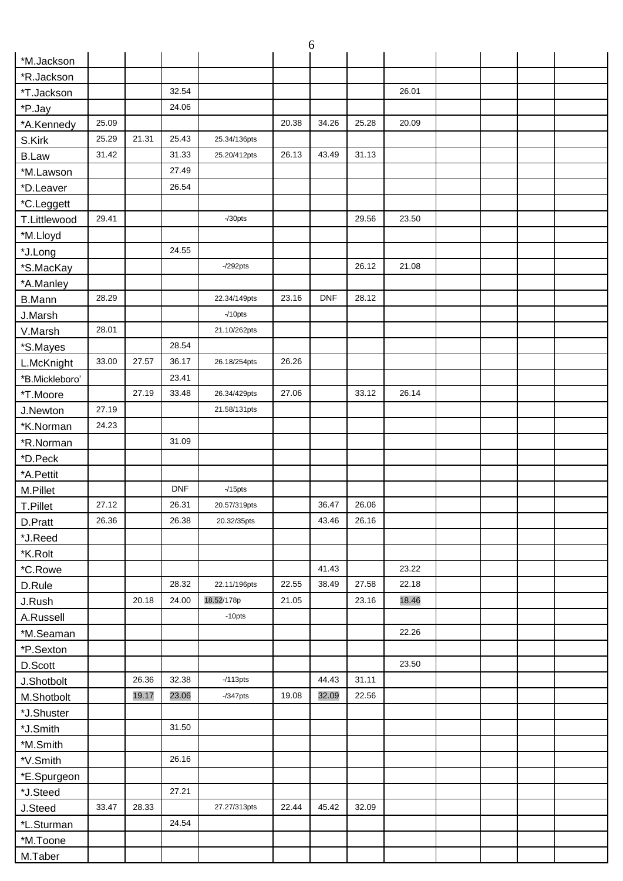|                 |       |       |            |              |       | 6          |             |       |  |  |
|-----------------|-------|-------|------------|--------------|-------|------------|-------------|-------|--|--|
| *M.Jackson      |       |       |            |              |       |            |             |       |  |  |
| *R.Jackson      |       |       |            |              |       |            |             |       |  |  |
| *T.Jackson      |       |       | 32.54      |              |       |            |             | 26.01 |  |  |
| *P.Jay          |       |       | 24.06      |              |       |            |             |       |  |  |
| *A.Kennedy      | 25.09 |       |            |              | 20.38 | 34.26      | 25.28       | 20.09 |  |  |
| S.Kirk          | 25.29 | 21.31 | 25.43      | 25.34/136pts |       |            |             |       |  |  |
| <b>B.Law</b>    | 31.42 |       | 31.33      | 25.20/412pts | 26.13 | 43.49      | 31.13       |       |  |  |
| *M.Lawson       |       |       | 27.49      |              |       |            |             |       |  |  |
| *D.Leaver       |       |       | 26.54      |              |       |            |             |       |  |  |
| *C.Leggett      |       |       |            |              |       |            |             |       |  |  |
| T.Littlewood    | 29.41 |       |            | $-$ /30pts   |       |            | 29.56       | 23.50 |  |  |
| *M.Lloyd        |       |       |            |              |       |            |             |       |  |  |
| *J.Long         |       |       | 24.55      |              |       |            |             |       |  |  |
| *S.MacKay       |       |       |            | $-292$ pts   |       |            | 26.12       | 21.08 |  |  |
| *A.Manley       |       |       |            |              |       |            |             |       |  |  |
| <b>B.Mann</b>   | 28.29 |       |            | 22.34/149pts | 23.16 | <b>DNF</b> | 28.12       |       |  |  |
| J.Marsh         |       |       |            | $-10$ pts    |       |            |             |       |  |  |
| V.Marsh         | 28.01 |       |            | 21.10/262pts |       |            |             |       |  |  |
| *S.Mayes        |       |       | 28.54      |              |       |            |             |       |  |  |
| L.McKnight      | 33.00 | 27.57 | 36.17      | 26.18/254pts | 26.26 |            |             |       |  |  |
| *B.Mickleboro'  |       |       | 23.41      |              |       |            |             |       |  |  |
| *T.Moore        |       | 27.19 | 33.48      | 26.34/429pts | 27.06 |            | 33.12       | 26.14 |  |  |
| J.Newton        | 27.19 |       |            | 21.58/131pts |       |            |             |       |  |  |
| *K.Norman       | 24.23 |       |            |              |       |            |             |       |  |  |
| *R.Norman       |       |       | 31.09      |              |       |            |             |       |  |  |
| *D.Peck         |       |       |            |              |       |            |             |       |  |  |
| *A.Pettit       |       |       |            |              |       |            |             |       |  |  |
| M.Pillet        |       |       | <b>DNF</b> | $-15$ pts    |       |            |             |       |  |  |
| <b>T.Pillet</b> | 27.12 |       | 26.31      | 20.57/319pts |       |            | 36.47 26.06 |       |  |  |
| D.Pratt         | 26.36 |       | 26.38      | 20.32/35pts  |       | 43.46      | 26.16       |       |  |  |
| *J.Reed         |       |       |            |              |       |            |             |       |  |  |
| *K.Rolt         |       |       |            |              |       |            |             |       |  |  |
| *C.Rowe         |       |       |            |              |       | 41.43      |             | 23.22 |  |  |
| D.Rule          |       |       | 28.32      | 22.11/196pts | 22.55 | 38.49      | 27.58       | 22.18 |  |  |
| J.Rush          |       | 20.18 | 24.00      | 18.52/178p   | 21.05 |            | 23.16       | 18.46 |  |  |
| A.Russell       |       |       |            | $-10$ pts    |       |            |             |       |  |  |
| *M.Seaman       |       |       |            |              |       |            |             | 22.26 |  |  |
| *P.Sexton       |       |       |            |              |       |            |             |       |  |  |
| D.Scott         |       |       |            |              |       |            |             | 23.50 |  |  |
| J.Shotbolt      |       | 26.36 | 32.38      | $-113pts$    |       | 44.43      | 31.11       |       |  |  |
| M.Shotbolt      |       | 19.17 | 23.06      | $-$ /347pts  | 19.08 | 32.09      | 22.56       |       |  |  |
| *J.Shuster      |       |       |            |              |       |            |             |       |  |  |
| *J.Smith        |       |       | 31.50      |              |       |            |             |       |  |  |
| *M.Smith        |       |       |            |              |       |            |             |       |  |  |
| *V.Smith        |       |       | 26.16      |              |       |            |             |       |  |  |
| *E.Spurgeon     |       |       |            |              |       |            |             |       |  |  |
| *J.Steed        |       |       | 27.21      |              |       |            |             |       |  |  |
| J.Steed         | 33.47 | 28.33 |            | 27.27/313pts | 22.44 | 45.42      | 32.09       |       |  |  |
| *L.Sturman      |       |       | 24.54      |              |       |            |             |       |  |  |
| *M.Toone        |       |       |            |              |       |            |             |       |  |  |
| M.Taber         |       |       |            |              |       |            |             |       |  |  |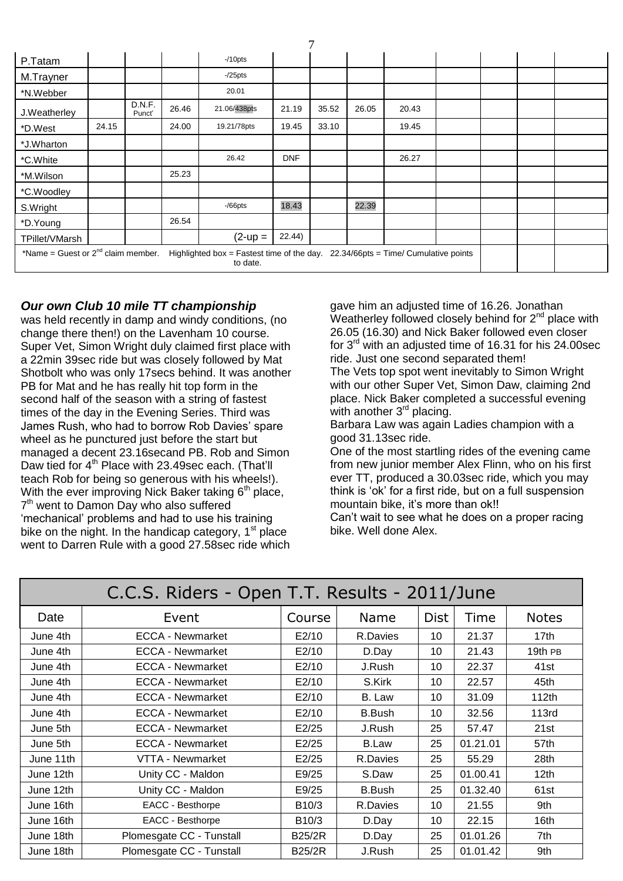| P.Tatam                                                                                                                                       |       |                  |       | $-10$ pts    |            |       |       |       |  |  |
|-----------------------------------------------------------------------------------------------------------------------------------------------|-------|------------------|-------|--------------|------------|-------|-------|-------|--|--|
| M.Trayner                                                                                                                                     |       |                  |       | $-25$ pts    |            |       |       |       |  |  |
| *N.Webber                                                                                                                                     |       |                  |       | 20.01        |            |       |       |       |  |  |
| J.Weatherley                                                                                                                                  |       | D.N.F.<br>Punct' | 26.46 | 21.06/438pts | 21.19      | 35.52 | 26.05 | 20.43 |  |  |
| *D.West                                                                                                                                       | 24.15 |                  | 24.00 | 19.21/78pts  | 19.45      | 33.10 |       | 19.45 |  |  |
| *J.Wharton                                                                                                                                    |       |                  |       |              |            |       |       |       |  |  |
| *C.White                                                                                                                                      |       |                  |       | 26.42        | <b>DNF</b> |       |       | 26.27 |  |  |
| *M.Wilson                                                                                                                                     |       |                  | 25.23 |              |            |       |       |       |  |  |
| *C.Woodley                                                                                                                                    |       |                  |       |              |            |       |       |       |  |  |
| S.Wright                                                                                                                                      |       |                  |       | $-$ /66pts   | 18.43      |       | 22.39 |       |  |  |
| *D.Young                                                                                                                                      |       |                  | 26.54 |              |            |       |       |       |  |  |
| TPillet/VMarsh                                                                                                                                |       |                  |       | $(2-up =$    | 22.44)     |       |       |       |  |  |
| *Name = Guest or $2^{nd}$ claim member.<br>Highlighted box = Fastest time of the day.<br>$22.34/66$ pts = Time/ Cumulative points<br>to date. |       |                  |       |              |            |       |       |       |  |  |

 $\mathcal{I}$ 

## *Our own Club 10 mile TT championship*

was held recently in damp and windy conditions, (no change there then!) on the Lavenham 10 course. Super Vet, Simon Wright duly claimed first place with a 22min 39sec ride but was closely followed by Mat Shotbolt who was only 17secs behind. It was another PB for Mat and he has really hit top form in the second half of the season with a string of fastest times of the day in the Evening Series. Third was James Rush, who had to borrow Rob Davies" spare wheel as he punctured just before the start but managed a decent 23.16secand PB. Rob and Simon Daw tied for 4<sup>th</sup> Place with 23.49sec each. (That'll teach Rob for being so generous with his wheels!). With the ever improving Nick Baker taking  $6<sup>th</sup>$  place, 7<sup>th</sup> went to Damon Day who also suffered 'mechanical' problems and had to use his training bike on the night. In the handicap category,  $1<sup>st</sup>$  place went to Darren Rule with a good 27.58sec ride which

gave him an adjusted time of 16.26. Jonathan Weatherley followed closely behind for  $2<sup>nd</sup>$  place with 26.05 (16.30) and Nick Baker followed even closer for  $3<sup>rd</sup>$  with an adjusted time of 16.31 for his 24.00sec ride. Just one second separated them!

The Vets top spot went inevitably to Simon Wright with our other Super Vet, Simon Daw, claiming 2nd place. Nick Baker completed a successful evening with another 3<sup>rd</sup> placing.

Barbara Law was again Ladies champion with a good 31.13sec ride.

One of the most startling rides of the evening came from new junior member Alex Flinn, who on his first ever TT, produced a 30.03sec ride, which you may think is "ok" for a first ride, but on a full suspension mountain bike, it's more than ok!!

Can"t wait to see what he does on a proper racing bike. Well done Alex.

| C.C.S. Riders - Open T.T. Results - 2011/June |                          |                    |               |             |          |                  |  |  |  |  |
|-----------------------------------------------|--------------------------|--------------------|---------------|-------------|----------|------------------|--|--|--|--|
| Date                                          | Event                    | Course             | Name          | <b>Dist</b> | Time     | <b>Notes</b>     |  |  |  |  |
| June 4th                                      | <b>ECCA - Newmarket</b>  | E2/10              | R.Davies      | 10          | 21.37    | 17th             |  |  |  |  |
| June 4th                                      | <b>ECCA - Newmarket</b>  | E2/10              | D.Day         | 10          | 21.43    | 19th PB          |  |  |  |  |
| June 4th                                      | <b>ECCA - Newmarket</b>  | E2/10              | J.Rush        | 10          | 22.37    | 41st             |  |  |  |  |
| June 4th                                      | <b>ECCA - Newmarket</b>  | E2/10              | S.Kirk        | 10          | 22.57    | 45th             |  |  |  |  |
| June 4th                                      | <b>ECCA - Newmarket</b>  | E2/10              | B. Law        | 10          | 31.09    | 112th            |  |  |  |  |
| June 4th                                      | <b>ECCA - Newmarket</b>  | E2/10              | <b>B.Bush</b> | 10          | 32.56    | 113rd            |  |  |  |  |
| June 5th                                      | <b>ECCA - Newmarket</b>  | E2/25              | J.Rush        | 25          | 57.47    | 21st             |  |  |  |  |
| June 5th                                      | <b>ECCA - Newmarket</b>  | E2/25              | <b>B.Law</b>  | 25          | 01.21.01 | 57th             |  |  |  |  |
| June 11th                                     | VTTA - Newmarket         | E2/25              | R.Davies      | 25          | 55.29    | 28th             |  |  |  |  |
| June 12th                                     | Unity CC - Maldon        | E9/25              | S.Daw         | 25          | 01.00.41 | 12 <sub>th</sub> |  |  |  |  |
| June 12th                                     | Unity CC - Maldon        | E9/25              | <b>B.Bush</b> | 25          | 01.32.40 | 61st             |  |  |  |  |
| June 16th                                     | EACC - Besthorpe         | B <sub>10</sub> /3 | R.Davies      | 10          | 21.55    | 9th              |  |  |  |  |
| June 16th                                     | EACC - Besthorpe         | B10/3              | D.Day         | 10          | 22.15    | 16th             |  |  |  |  |
| June 18th                                     | Plomesgate CC - Tunstall | <b>B25/2R</b>      | D.Day         | 25          | 01.01.26 | 7th              |  |  |  |  |
| June 18th                                     | Plomesgate CC - Tunstall | <b>B25/2R</b>      | J.Rush        | 25          | 01.01.42 | 9th              |  |  |  |  |